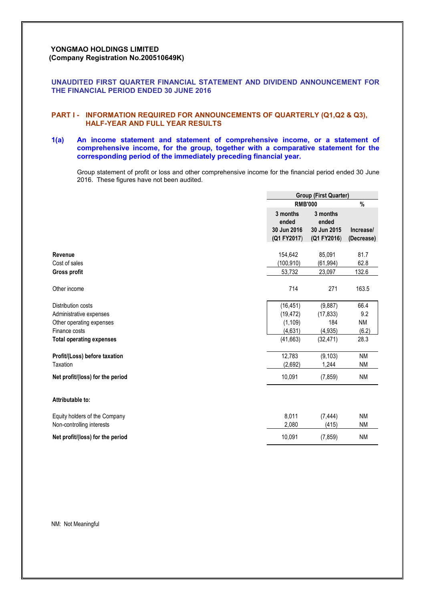# **YONGMAO HOLDINGS LIMITED (Company Registration No.200510649K)**

# **UNAUDITED FIRST QUARTER FINANCIAL STATEMENT AND DIVIDEND ANNOUNCEMENT FOR THE FINANCIAL PERIOD ENDED 30 JUNE 2016**

# **PART I - INFORMATION REQUIRED FOR ANNOUNCEMENTS OF QUARTERLY (Q1,Q2 & Q3), HALF-YEAR AND FULL YEAR RESULTS**

# **1(a) An income statement and statement of comprehensive income, or a statement of comprehensive income, for the group, together with a comparative statement for the corresponding period of the immediately preceding financial year.**

Group statement of profit or loss and other comprehensive income for the financial period ended 30 June 2016. These figures have not been audited.

|                                  | <b>Group (First Quarter)</b> |                   |            |  |
|----------------------------------|------------------------------|-------------------|------------|--|
|                                  | <b>RMB'000</b>               |                   | %          |  |
|                                  | 3 months<br>ended            | 3 months<br>ended |            |  |
|                                  | 30 Jun 2016                  | 30 Jun 2015       | Increase/  |  |
|                                  | (Q1 FY2017)                  | (Q1 FY2016)       | (Decrease) |  |
| Revenue                          | 154,642                      | 85,091            | 81.7       |  |
| Cost of sales                    | (100, 910)                   | (61, 994)         | 62.8       |  |
| <b>Gross profit</b>              | 53,732                       | 23,097            | 132.6      |  |
| Other income                     | 714                          | 271               | 163.5      |  |
| Distribution costs               | (16, 451)                    | (9,887)           | 66.4       |  |
| Administrative expenses          | (19, 472)                    | (17, 833)         | 9.2        |  |
| Other operating expenses         | (1, 109)                     | 184               | <b>NM</b>  |  |
| Finance costs                    | (4,631)                      | (4, 935)          | (6.2)      |  |
| <b>Total operating expenses</b>  | (41, 663)                    | (32, 471)         | 28.3       |  |
| Profit/(Loss) before taxation    | 12,783                       | (9, 103)          | <b>NM</b>  |  |
| Taxation                         | (2,692)                      | 1,244             | <b>NM</b>  |  |
| Net profit/(loss) for the period | 10,091                       | (7, 859)          | <b>NM</b>  |  |
| Attributable to:                 |                              |                   |            |  |
| Equity holders of the Company    | 8,011                        | (7, 444)          | <b>NM</b>  |  |
| Non-controlling interests        | 2,080                        | (415)             | <b>NM</b>  |  |
| Net profit/(loss) for the period | 10,091                       | (7, 859)          | <b>NM</b>  |  |

NM: Not Meaningful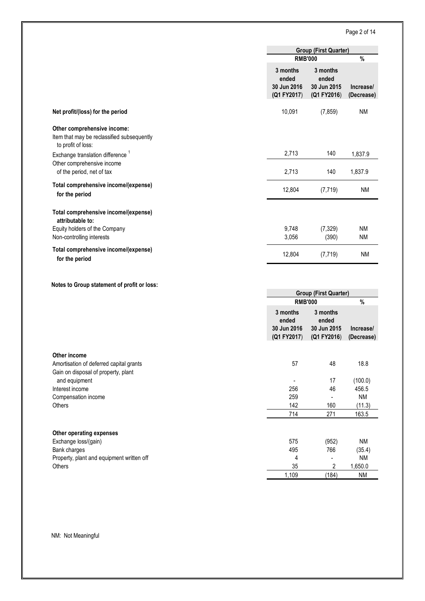# Page 2 of 14

|                                                                                                 | <b>Group (First Quarter)</b>                    |                                                 |                         |
|-------------------------------------------------------------------------------------------------|-------------------------------------------------|-------------------------------------------------|-------------------------|
|                                                                                                 | <b>RMB'000</b>                                  |                                                 | %                       |
|                                                                                                 | 3 months<br>ended<br>30 Jun 2016<br>(Q1 FY2017) | 3 months<br>ended<br>30 Jun 2015<br>(Q1 FY2016) | Increase/<br>(Decrease) |
| Net profit/(loss) for the period                                                                | 10,091                                          | (7, 859)                                        | <b>NM</b>               |
| Other comprehensive income:<br>Item that may be reclassified subsequently<br>to profit of loss: |                                                 |                                                 |                         |
| Exchange translation difference <sup>1</sup>                                                    | 2,713                                           | 140                                             | 1,837.9                 |
| Other comprehensive income<br>of the period, net of tax                                         | 2,713                                           | 140                                             | 1,837.9                 |
| Total comprehensive income/(expense)<br>for the period                                          | 12,804                                          | (7, 719)                                        | <b>NM</b>               |
| Total comprehensive income/(expense)<br>attributable to:                                        |                                                 |                                                 |                         |
| Equity holders of the Company                                                                   | 9,748                                           | (7, 329)                                        | <b>NM</b>               |
| Non-controlling interests                                                                       | 3,056                                           | (390)                                           | <b>NM</b>               |
| Total comprehensive income/(expense)<br>for the period                                          | 12,804                                          | (7, 719)                                        | <b>NM</b>               |

**Notes to Group statement of profit or loss:**

|                                           | <b>Group (First Quarter)</b>                    |                                                 |                         |  |
|-------------------------------------------|-------------------------------------------------|-------------------------------------------------|-------------------------|--|
|                                           | <b>RMB'000</b>                                  |                                                 | %                       |  |
|                                           | 3 months<br>ended<br>30 Jun 2016<br>(Q1 FY2017) | 3 months<br>ended<br>30 Jun 2015<br>(Q1 FY2016) | Increase/<br>(Decrease) |  |
| Other income                              |                                                 |                                                 |                         |  |
| Amortisation of deferred capital grants   | 57                                              | 48                                              | 18.8                    |  |
| Gain on disposal of property, plant       |                                                 |                                                 |                         |  |
| and equipment                             |                                                 | 17                                              | (100.0)                 |  |
| Interest income                           | 256                                             | 46                                              | 456.5                   |  |
| Compensation income                       | 259                                             |                                                 | <b>NM</b>               |  |
|                                           | 142                                             | 160                                             | (11.3)                  |  |
|                                           | 714                                             | 271                                             | 163.5                   |  |
| Other operating expenses                  |                                                 |                                                 |                         |  |
| Exchange loss/(gain)                      | 575                                             | (952)                                           | ΝM                      |  |
| Bank charges                              | 495                                             | 766                                             | (35.4)                  |  |
| Property, plant and equipment written off | 4                                               |                                                 | <b>NM</b>               |  |
|                                           | 35                                              | 2                                               | 1,650.0                 |  |
|                                           | 1,109                                           | (184)                                           | <b>NM</b>               |  |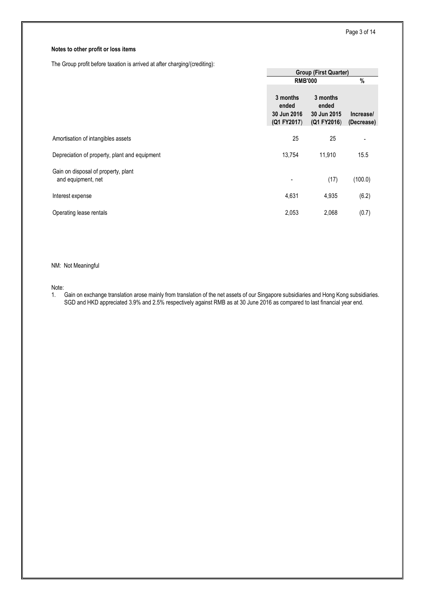# **Notes to other profit or loss items**

The Group profit before taxation is arrived at after charging/(crediting):

|                                                           | <b>Group (First Quarter)</b>                    |                                                 |                         |  |
|-----------------------------------------------------------|-------------------------------------------------|-------------------------------------------------|-------------------------|--|
|                                                           | <b>RMB'000</b>                                  | %                                               |                         |  |
|                                                           | 3 months<br>ended<br>30 Jun 2016<br>(Q1 FY2017) | 3 months<br>ended<br>30 Jun 2015<br>(Q1 FY2016) | Increase/<br>(Decrease) |  |
| Amortisation of intangibles assets                        | 25                                              | 25                                              | -                       |  |
| Depreciation of property, plant and equipment             | 13,754                                          | 11,910                                          | 15.5                    |  |
| Gain on disposal of property, plant<br>and equipment, net | $\overline{a}$                                  | (17)                                            | (100.0)                 |  |
| Interest expense                                          | 4,631                                           | 4,935                                           | (6.2)                   |  |
| Operating lease rentals                                   | 2,053                                           | 2,068                                           | (0.7)                   |  |

# NM: Not Meaningful

Note:<br>1.

1. Gain on exchange translation arose mainly from translation of the net assets of our Singapore subsidiaries and Hong Kong subsidiaries. SGD and HKD appreciated 3.9% and 2.5% respectively against RMB as at 30 June 2016 as compared to last financial year end.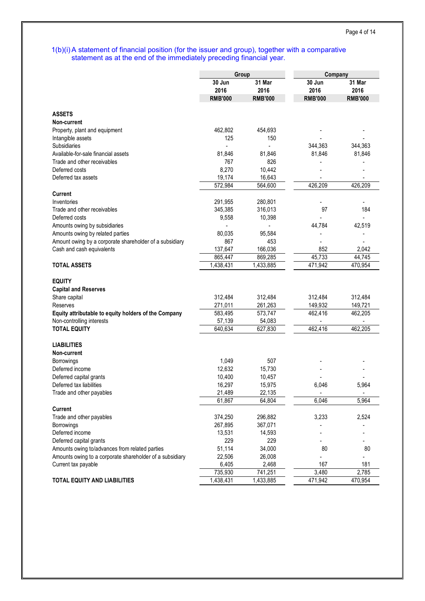# 1(b)(i) A statement of financial position (for the issuer and group), together with a comparative statement as at the end of the immediately preceding financial year.

|                                                          | Group          |                | Company        |                          |  |
|----------------------------------------------------------|----------------|----------------|----------------|--------------------------|--|
|                                                          | 30 Jun<br>2016 | 31 Mar<br>2016 | 30 Jun<br>2016 | 31 Mar<br>2016           |  |
|                                                          | <b>RMB'000</b> | <b>RMB'000</b> | <b>RMB'000</b> | <b>RMB'000</b>           |  |
|                                                          |                |                |                |                          |  |
| <b>ASSETS</b>                                            |                |                |                |                          |  |
| Non-current                                              |                |                |                |                          |  |
| Property, plant and equipment                            | 462,802        | 454,693        |                |                          |  |
| Intangible assets                                        | 125            | 150            |                |                          |  |
| Subsidiaries                                             |                |                | 344,363        | 344,363                  |  |
| Available-for-sale financial assets                      | 81.846         | 81,846         | 81,846         | 81,846                   |  |
| Trade and other receivables                              | 767            | 826            |                |                          |  |
| Deferred costs                                           | 8,270          | 10,442         |                |                          |  |
| Deferred tax assets                                      | 19,174         | 16,643         |                |                          |  |
|                                                          | 572,984        | 564,600        | 426,209        | 426,209                  |  |
| Current                                                  |                |                |                |                          |  |
| Inventories                                              | 291,955        | 280,801        |                |                          |  |
| Trade and other receivables                              | 345,385        | 316,013        | 97             | 184                      |  |
| Deferred costs                                           | 9,558          | 10,398         |                | $\overline{\phantom{a}}$ |  |
| Amounts owing by subsidiaries                            |                |                | 44,784         | 42,519                   |  |
| Amounts owing by related parties                         | 80,035         | 95,584         |                |                          |  |
| Amount owing by a corporate shareholder of a subsidiary  | 867            | 453            |                |                          |  |
|                                                          |                |                |                |                          |  |
| Cash and cash equivalents                                | 137,647        | 166,036        | 852            | 2,042                    |  |
|                                                          | 865,447        | 869,285        | 45,733         | 44,745                   |  |
| <b>TOTAL ASSETS</b>                                      | 1,438,431      | 1,433,885      | 471,942        | 470,954                  |  |
|                                                          |                |                |                |                          |  |
| <b>EQUITY</b>                                            |                |                |                |                          |  |
| <b>Capital and Reserves</b>                              |                |                |                |                          |  |
| Share capital                                            | 312,484        | 312,484        | 312,484        | 312,484                  |  |
| Reserves                                                 | 271,011        | 261,263        | 149,932        | 149,721                  |  |
| Equity attributable to equity holders of the Company     | 583,495        | 573,747        | 462,416        | 462,205                  |  |
| Non-controlling interests                                | 57,139         | 54,083         |                |                          |  |
| <b>TOTAL EQUITY</b>                                      | 640,634        | 627,830        | 462,416        | 462,205                  |  |
|                                                          |                |                |                |                          |  |
| <b>LIABILITIES</b>                                       |                |                |                |                          |  |
| Non-current                                              |                |                |                |                          |  |
| <b>Borrowings</b>                                        | 1,049          | 507            |                |                          |  |
| Deferred income                                          | 12,632         | 15,730         |                |                          |  |
| Deferred capital grants                                  | 10,400         | 10,457         |                |                          |  |
| Deferred tax liabilities                                 | 16,297         | 15,975         | 6,046          | 5,964                    |  |
| Trade and other payables                                 | 21,489         | 22,135         | $\blacksquare$ | $\blacksquare$           |  |
|                                                          | 61,867         | 64,804         | 6,046          | 5,964                    |  |
| <b>Current</b>                                           |                |                |                |                          |  |
| Trade and other payables                                 | 374,250        | 296,882        | 3,233          | 2,524                    |  |
| Borrowings                                               | 267,895        | 367,071        |                |                          |  |
| Deferred income                                          | 13,531         | 14,593         |                |                          |  |
| Deferred capital grants                                  | 229            | 229            |                |                          |  |
|                                                          |                |                |                |                          |  |
| Amounts owing to/advances from related parties           | 51,114         | 34,000         | 80             | 80                       |  |
| Amounts owing to a corporate shareholder of a subsidiary | 22,506         | 26,008         |                |                          |  |
| Current tax payable                                      | 6,405          | 2,468          | 167            | 181                      |  |
|                                                          | 735,930        | 741,251        | 3,480          | 2,785                    |  |
| <b>TOTAL EQUITY AND LIABILITIES</b>                      | 1,438,431      | 1,433,885      | 471,942        | 470,954                  |  |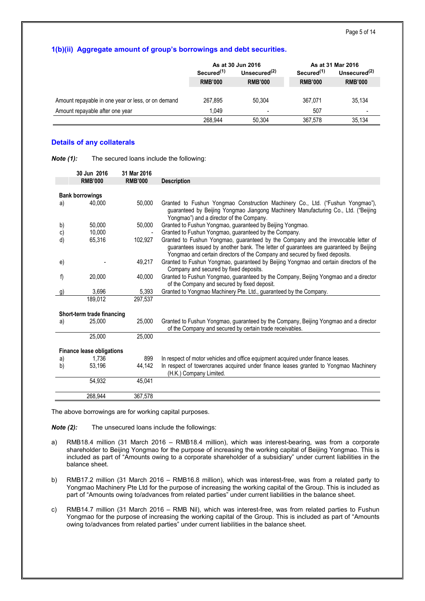# **1(b)(ii) Aggregate amount of group's borrowings and debt securities.**

|                                                    |                        | As at 30 Jun 2016 | As at 31 Mar 2016      |                          |  |
|----------------------------------------------------|------------------------|-------------------|------------------------|--------------------------|--|
|                                                    | Secured <sup>(1)</sup> | Unsecured $(2)$   | Secured <sup>(1)</sup> | Unsecured $(2)$          |  |
|                                                    | <b>RMB'000</b>         | <b>RMB'000</b>    | <b>RMB'000</b>         | <b>RMB'000</b>           |  |
|                                                    |                        |                   |                        |                          |  |
| Amount repayable in one year or less, or on demand | 267.895                | 50.304            | 367.071                | 35.134                   |  |
| Amount repayable after one year                    | 1.049                  | -                 | 507                    | $\overline{\phantom{0}}$ |  |
|                                                    | 268.944                | 50.304            | 367.578                | 35.134                   |  |

# **Details of any collaterals**

| Note (1):<br>The secured loans include the following: |  |
|-------------------------------------------------------|--|
|-------------------------------------------------------|--|

|    | 30 Jun 2016                      | 31 Mar 2016    |                                                                                                                                                                                                                                                            |
|----|----------------------------------|----------------|------------------------------------------------------------------------------------------------------------------------------------------------------------------------------------------------------------------------------------------------------------|
|    | <b>RMB'000</b>                   | <b>RMB'000</b> | <b>Description</b>                                                                                                                                                                                                                                         |
|    |                                  |                |                                                                                                                                                                                                                                                            |
|    | <b>Bank borrowings</b>           |                |                                                                                                                                                                                                                                                            |
| a) | 40.000                           | 50.000         | Granted to Fushun Yongmao Construction Machinery Co., Ltd. ("Fushun Yongmao"),<br>guaranteed by Beijing Yongmao Jiangong Machinery Manufacturing Co., Ltd. ("Beijing<br>Yongmao") and a director of the Company.                                           |
| b) | 50,000                           | 50,000         | Granted to Fushun Yongmao, guaranteed by Beijing Yongmao.                                                                                                                                                                                                  |
| c) | 10,000                           |                | Granted to Fushun Yongmao, guaranteed by the Company.                                                                                                                                                                                                      |
| d) | 65,316                           | 102.927        | Granted to Fushun Yongmao, guaranteed by the Company and the irrevocable letter of<br>guarantees issued by another bank. The letter of guarantees are guaranteed by Beijing<br>Yongmao and certain directors of the Company and secured by fixed deposits. |
| e) |                                  | 49,217         | Granted to Fushun Yongmao, guaranteed by Beijing Yongmao and certain directors of the<br>Company and secured by fixed deposits.                                                                                                                            |
| f) | 20,000                           | 40,000         | Granted to Fushun Yongmao, guaranteed by the Company, Beijing Yongmao and a director<br>of the Company and secured by fixed deposit.                                                                                                                       |
| g) | 3,696                            | 5,393          | Granted to Yongmao Machinery Pte. Ltd., guaranteed by the Company.                                                                                                                                                                                         |
|    | 189,012                          | 297,537        |                                                                                                                                                                                                                                                            |
|    |                                  |                |                                                                                                                                                                                                                                                            |
|    | Short-term trade financing       |                |                                                                                                                                                                                                                                                            |
| a) | 25,000                           | 25,000         | Granted to Fushun Yongmao, guaranteed by the Company, Beijing Yongmao and a director<br>of the Company and secured by certain trade receivables.                                                                                                           |
|    | 25,000                           | 25,000         |                                                                                                                                                                                                                                                            |
|    |                                  |                |                                                                                                                                                                                                                                                            |
|    | <b>Finance lease obligations</b> |                |                                                                                                                                                                                                                                                            |
| a) | 1,736                            | 899            | In respect of motor vehicles and office equipment acquired under finance leases.                                                                                                                                                                           |
| b) | 53,196                           | 44.142         | In respect of towercranes acquired under finance leases granted to Yongmao Machinery<br>(H.K.) Company Limited.                                                                                                                                            |
|    | 54,932                           | 45,041         |                                                                                                                                                                                                                                                            |
|    | 268,944                          | 367,578        |                                                                                                                                                                                                                                                            |

The above borrowings are for working capital purposes.

*Note (2):* The unsecured loans include the followings:

- a) RMB18.4 million (31 March 2016 RMB18.4 million), which was interest-bearing, was from a corporate shareholder to Beijing Yongmao for the purpose of increasing the working capital of Beijing Yongmao. This is included as part of "Amounts owing to a corporate shareholder of a subsidiary" under current liabilities in the balance sheet.
- b) RMB17.2 million (31 March 2016 RMB16.8 million), which was interest-free, was from a related party to Yongmao Machinery Pte Ltd for the purpose of increasing the working capital of the Group. This is included as part of "Amounts owing to/advances from related parties" under current liabilities in the balance sheet.
- c) RMB14.7 million (31 March 2016 RMB Nil), which was interest-free, was from related parties to Fushun Yongmao for the purpose of increasing the working capital of the Group. This is included as part of "Amounts owing to/advances from related parties" under current liabilities in the balance sheet.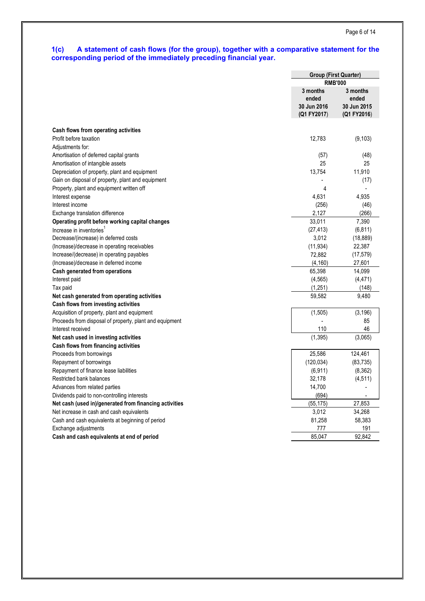# **1(c) A statement of cash flows (for the group), together with a comparative statement for the corresponding period of the immediately preceding financial year.**

|                                                         |                                  | <b>Group (First Quarter)</b>     |  |  |
|---------------------------------------------------------|----------------------------------|----------------------------------|--|--|
|                                                         | <b>RMB'000</b>                   |                                  |  |  |
|                                                         | 3 months<br>ended<br>30 Jun 2016 | 3 months<br>ended<br>30 Jun 2015 |  |  |
|                                                         | (Q1 FY2017)                      | (Q1 FY2016)                      |  |  |
|                                                         |                                  |                                  |  |  |
| Cash flows from operating activities                    |                                  |                                  |  |  |
| Profit before taxation                                  | 12,783                           | (9, 103)                         |  |  |
| Adjustments for:                                        |                                  |                                  |  |  |
| Amortisation of deferred capital grants                 | (57)                             | (48)                             |  |  |
| Amortisation of intangible assets                       | 25                               | 25                               |  |  |
| Depreciation of property, plant and equipment           | 13,754                           | 11,910                           |  |  |
| Gain on disposal of property, plant and equipment       |                                  | (17)                             |  |  |
| Property, plant and equipment written off               | 4                                |                                  |  |  |
| Interest expense                                        | 4,631                            | 4,935                            |  |  |
| Interest income                                         | (256)                            | (46)                             |  |  |
| Exchange translation difference                         | 2,127                            | (266)                            |  |  |
| Operating profit before working capital changes         | 33,011                           | 7,390                            |  |  |
| Increase in inventories                                 | (27, 413)                        | (6, 811)                         |  |  |
| Decrease/(increase) in deferred costs                   | 3,012                            | (18, 889)                        |  |  |
| (Increase)/decrease in operating receivables            | (11, 934)                        | 22,387                           |  |  |
| Increase/(decrease) in operating payables               | 72,882                           | (17, 579)                        |  |  |
| (Increase)/decrease in deferred income                  | (4, 160)                         | 27,601                           |  |  |
| Cash generated from operations                          | 65,398                           | 14,099                           |  |  |
| Interest paid                                           | (4, 565)                         | (4, 471)                         |  |  |
| Tax paid                                                | (1,251)                          | (148)                            |  |  |
| Net cash generated from operating activities            | 59,582                           | 9,480                            |  |  |
| Cash flows from investing activities                    |                                  |                                  |  |  |
| Acquisition of property, plant and equipment            | (1, 505)                         | (3, 196)                         |  |  |
| Proceeds from disposal of property, plant and equipment |                                  | 85                               |  |  |
| Interest received                                       | 110                              | 46                               |  |  |
| Net cash used in investing activities                   | (1, 395)                         | (3,065)                          |  |  |
| Cash flows from financing activities                    |                                  |                                  |  |  |
| Proceeds from borrowings                                | 25,586                           | 124,461                          |  |  |
| Repayment of borrowings                                 | (120, 034)                       | (83, 735)                        |  |  |
| Repayment of finance lease liabilities                  | (6, 911)                         | (8,362)                          |  |  |
| Restricted bank balances                                | 32,178                           | (4, 511)                         |  |  |
| Advances from related parties                           | 14,700                           |                                  |  |  |
| Dividends paid to non-controlling interests             | (694)                            |                                  |  |  |
| Net cash (used in)/generated from financing activities  | (55, 175)                        | 27,853                           |  |  |
| Net increase in cash and cash equivalents               | 3,012                            | 34,268                           |  |  |
| Cash and cash equivalents at beginning of period        | 81,258                           | 58,383                           |  |  |
| Exchange adjustments                                    | 777                              | 191                              |  |  |
| Cash and cash equivalents at end of period              | 85,047                           | 92,842                           |  |  |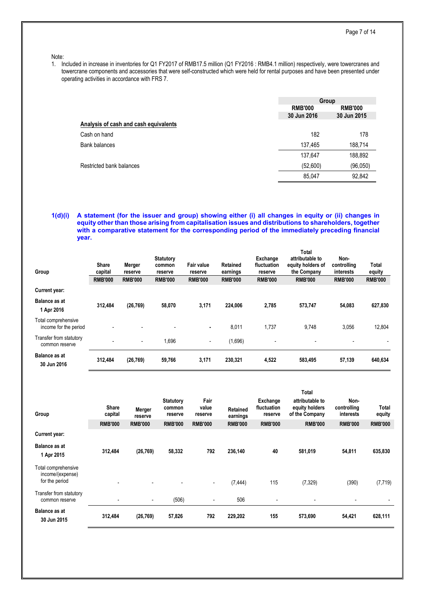#### Note:

1. Included in increase in inventories for Q1 FY2017 of RMB17.5 million (Q1 FY2016 : RMB4.1 million) respectively, were towercranes and towercrane components and accessories that were self-constructed which were held for rental purposes and have been presented under operating activities in accordance with FRS 7.

|                                       | Group          |                |  |
|---------------------------------------|----------------|----------------|--|
|                                       | <b>RMB'000</b> | <b>RMB'000</b> |  |
|                                       | 30 Jun 2016    | 30 Jun 2015    |  |
| Analysis of cash and cash equivalents |                |                |  |
| Cash on hand                          | 182            | 178            |  |
| <b>Bank balances</b>                  | 137,465        | 188,714        |  |
|                                       | 137,647        | 188,892        |  |
| Restricted bank balances              | (52,600)       | (96, 050)      |  |
|                                       | 85,047         | 92,842         |  |
|                                       |                |                |  |

# **1(d)(i) A statement (for the issuer and group) showing either (i) all changes in equity or (ii) changes in equity other than those arising from capitalisation issues and distributions to shareholders, together with a comparative statement for the corresponding period of the immediately preceding financial year.**

| Group                                        | <b>Share</b><br>capital<br><b>RMB'000</b> | Merger<br>reserve<br><b>RMB'000</b> | <b>Statutory</b><br>common<br>reserve<br><b>RMB'000</b> | Fair value<br>reserve<br><b>RMB'000</b> | Retained<br>earnings<br><b>RMB'000</b> | Exchange<br>fluctuation<br>reserve<br><b>RMB'000</b> | Total<br>attributable to<br>equity holders of<br>the Company<br><b>RMB'000</b> | Non-<br>controlling<br>interests<br><b>RMB'000</b> | Total<br>equity<br><b>RMB'000</b> |
|----------------------------------------------|-------------------------------------------|-------------------------------------|---------------------------------------------------------|-----------------------------------------|----------------------------------------|------------------------------------------------------|--------------------------------------------------------------------------------|----------------------------------------------------|-----------------------------------|
| <b>Current year:</b>                         |                                           |                                     |                                                         |                                         |                                        |                                                      |                                                                                |                                                    |                                   |
| Balance as at<br>1 Apr 2016                  | 312.484                                   | (26, 769)                           | 58.070                                                  | 3,171                                   | 224.006                                | 2,785                                                | 573.747                                                                        | 54,083                                             | 627,830                           |
| Total comprehensive<br>income for the period |                                           | $\blacksquare$                      | $\overline{\phantom{a}}$                                | ۰.                                      | 8,011                                  | 1,737                                                | 9,748                                                                          | 3,056                                              | 12,804                            |
| Transfer from statutory<br>common reserve    | $\blacksquare$                            | $\overline{\phantom{a}}$            | 1,696                                                   | $\overline{\phantom{a}}$                | (1,696)                                | $\overline{\phantom{a}}$                             |                                                                                |                                                    |                                   |
| <b>Balance as at</b><br>30 Jun 2016          | 312,484                                   | (26, 769)                           | 59,766                                                  | 3,171                                   | 230,321                                | 4,522                                                | 583,495                                                                        | 57,139                                             | 640,634                           |

| Group                                                     | Share<br>capital<br><b>RMB'000</b> | Merger<br>reserve<br><b>RMB'000</b> | <b>Statutory</b><br>common<br>reserve<br><b>RMB'000</b> | Fair<br>value<br>reserve<br><b>RMB'000</b> | Retained<br>earnings<br><b>RMB'000</b> | Exchange<br>fluctuation<br>reserve<br><b>RMB'000</b> | <b>Total</b><br>attributable to<br>equity holders<br>of the Company<br><b>RMB'000</b> | Non-<br>controlling<br>interests<br><b>RMB'000</b> | Total<br>equity<br><b>RMB'000</b> |
|-----------------------------------------------------------|------------------------------------|-------------------------------------|---------------------------------------------------------|--------------------------------------------|----------------------------------------|------------------------------------------------------|---------------------------------------------------------------------------------------|----------------------------------------------------|-----------------------------------|
| Current year:                                             |                                    |                                     |                                                         |                                            |                                        |                                                      |                                                                                       |                                                    |                                   |
| <b>Balance as at</b><br>1 Apr 2015                        | 312,484                            | (26, 769)                           | 58,332                                                  | 792                                        | 236,140                                | 40                                                   | 581,019                                                                               | 54,811                                             | 635,830                           |
| Total comprehensive<br>income/(expense)<br>for the period | $\overline{\phantom{a}}$           |                                     |                                                         | $\overline{\phantom{a}}$                   | (7, 444)                               | 115                                                  | (7, 329)                                                                              | (390)                                              | (7, 719)                          |
| Transfer from statutory<br>common reserve                 |                                    | $\overline{\phantom{a}}$            | (506)                                                   | $\overline{\phantom{a}}$                   | 506                                    | $\qquad \qquad \blacksquare$                         |                                                                                       |                                                    |                                   |
| <b>Balance as at</b><br>30 Jun 2015                       | 312,484                            | (26, 769)                           | 57,826                                                  | 792                                        | 229,202                                | 155                                                  | 573,690                                                                               | 54,421                                             | 628,111                           |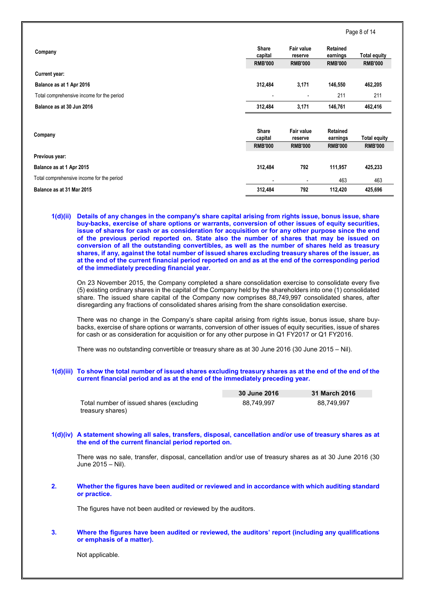|                                           |                          |                              |                      | Page 8 of 14        |
|-------------------------------------------|--------------------------|------------------------------|----------------------|---------------------|
| Company                                   | <b>Share</b><br>capital  | Fair value<br>reserve        | Retained<br>earnings | <b>Total equity</b> |
|                                           | <b>RMB'000</b>           | <b>RMB'000</b>               | <b>RMB'000</b>       | <b>RMB'000</b>      |
| Current year:                             |                          |                              |                      |                     |
| Balance as at 1 Apr 2016                  | 312,484                  | 3,171                        | 146,550              | 462,205             |
| Total comprehensive income for the period | $\overline{\phantom{a}}$ | $\overline{\phantom{a}}$     | 211                  | 211                 |
| Balance as at 30 Jun 2016                 | 312,484                  | 3,171                        | 146,761              | 462,416             |
| Company                                   | <b>Share</b><br>capital  | <b>Fair value</b><br>reserve | Retained<br>earnings | <b>Total equity</b> |
|                                           | <b>RMB'000</b>           | <b>RMB'000</b>               | <b>RMB'000</b>       | <b>RMB'000</b>      |
| Previous year:                            |                          |                              |                      |                     |
| Balance as at 1 Apr 2015                  | 312,484                  | 792                          | 111,957              | 425,233             |
| Total comprehensive income for the period |                          |                              | 463                  | 463                 |
| Balance as at 31 Mar 2015                 | 312,484                  | 792                          | 112,420              | 425,696             |

**1(d)(ii) Details of any changes in the company's share capital arising from rights issue, bonus issue, share buy-backs, exercise of share options or warrants, conversion of other issues of equity securities, issue of shares for cash or as consideration for acquisition or for any other purpose since the end of the previous period reported on. State also the number of shares that may be issued on conversion of all the outstanding convertibles, as well as the number of shares held as treasury shares, if any, against the total number of issued shares excluding treasury shares of the issuer, as at the end of the current financial period reported on and as at the end of the corresponding period of the immediately preceding financial year.**

On 23 November 2015, the Company completed a share consolidation exercise to consolidate every five (5) existing ordinary shares in the capital of the Company held by the shareholders into one (1) consolidated share. The issued share capital of the Company now comprises 88,749,997 consolidated shares, after disregarding any fractions of consolidated shares arising from the share consolidation exercise.

There was no change in the Company's share capital arising from rights issue, bonus issue, share buybacks, exercise of share options or warrants, conversion of other issues of equity securities, issue of shares for cash or as consideration for acquisition or for any other purpose in Q1 FY2017 or Q1 FY2016.

There was no outstanding convertible or treasury share as at 30 June 2016 (30 June 2015 – Nil).

# **1(d)(iii) To show the total number of issued shares excluding treasury shares as at the end of the end of the current financial period and as at the end of the immediately preceding year.**

|                                          | 30 June 2016 | 31 March 2016 |
|------------------------------------------|--------------|---------------|
| Total number of issued shares (excluding | 88.749.997   | 88.749.997    |
| treasury shares)                         |              |               |

# **1(d)(iv) A statement showing all sales, transfers, disposal, cancellation and/or use of treasury shares as at the end of the current financial period reported on.**

There was no sale, transfer, disposal, cancellation and/or use of treasury shares as at 30 June 2016 (30 June 2015 – Nil).

### **2. Whether the figures have been audited or reviewed and in accordance with which auditing standard or practice.**

The figures have not been audited or reviewed by the auditors.

### **3. Where the figures have been audited or reviewed, the auditors' report (including any qualifications or emphasis of a matter).**

Not applicable.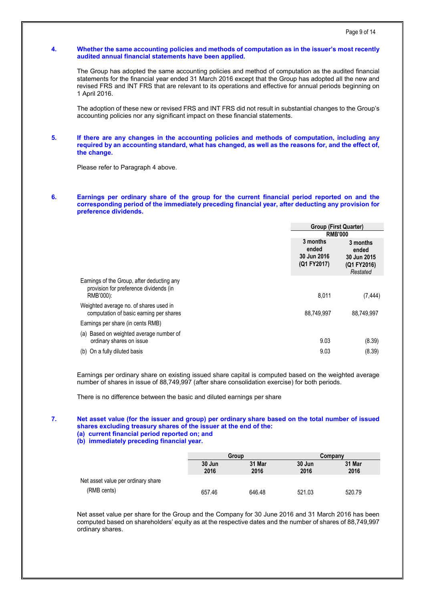### **4. Whether the same accounting policies and methods of computation as in the issuer's most recently audited annual financial statements have been applied.**

The Group has adopted the same accounting policies and method of computation as the audited financial statements for the financial year ended 31 March 2016 except that the Group has adopted all the new and revised FRS and INT FRS that are relevant to its operations and effective for annual periods beginning on 1 April 2016.

The adoption of these new or revised FRS and INT FRS did not result in substantial changes to the Group's accounting policies nor any significant impact on these financial statements.

#### **5. If there are any changes in the accounting policies and methods of computation, including any required by an accounting standard, what has changed, as well as the reasons for, and the effect of, the change.**

Please refer to Paragraph 4 above.

# **6. Earnings per ordinary share of the group for the current financial period reported on and the corresponding period of the immediately preceding financial year, after deducting any provision for preference dividends.**

|                                                                                                   | <b>Group (First Quarter)</b>                           |                                                             |
|---------------------------------------------------------------------------------------------------|--------------------------------------------------------|-------------------------------------------------------------|
|                                                                                                   | <b>RMB'000</b>                                         |                                                             |
|                                                                                                   | 3 months<br>ended<br><b>30 Jun 2016</b><br>(Q1 FY2017) | 3 months<br>ended<br>30 Jun 2015<br>(Q1 FY2016)<br>Restated |
| Earnings of the Group, after deducting any<br>provision for preference dividends (in<br>RMB'000): | 8,011                                                  | (7, 444)                                                    |
| Weighted average no. of shares used in<br>computation of basic earning per shares                 | 88.749.997                                             | 88.749.997                                                  |
| Earnings per share (in cents RMB)                                                                 |                                                        |                                                             |
| (a) Based on weighted average number of<br>ordinary shares on issue                               | 9.03                                                   | (8.39)                                                      |
| (b) On a fully diluted basis                                                                      | 9.03                                                   | (8.39)                                                      |

Earnings per ordinary share on existing issued share capital is computed based on the weighted average number of shares in issue of 88,749,997 (after share consolidation exercise) for both periods.

There is no difference between the basic and diluted earnings per share

### **7. Net asset value (for the issuer and group) per ordinary share based on the total number of issued shares excluding treasury shares of the issuer at the end of the: (a) current financial period reported on; and**

**(b) immediately preceding financial year.**

|                                    |                | Group          |                | Company        |
|------------------------------------|----------------|----------------|----------------|----------------|
|                                    | 30 Jun<br>2016 | 31 Mar<br>2016 | 30 Jun<br>2016 | 31 Mar<br>2016 |
| Net asset value per ordinary share |                |                |                |                |
| (RMB cents)                        | 657.46         | 646.48         | 521.03         | 520.79         |

Net asset value per share for the Group and the Company for 30 June 2016 and 31 March 2016 has been computed based on shareholders' equity as at the respective dates and the number of shares of 88,749,997 ordinary shares.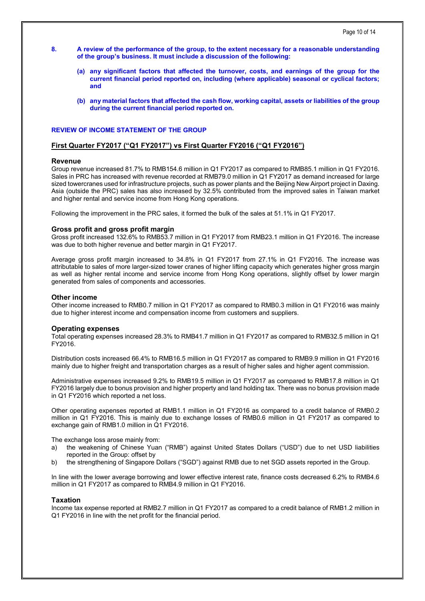- **8. A review of the performance of the group, to the extent necessary for a reasonable understanding of the group's business. It must include a discussion of the following:**
	- **(a) any significant factors that affected the turnover, costs, and earnings of the group for the current financial period reported on, including (where applicable) seasonal or cyclical factors; and**
	- **(b) any material factors that affected the cash flow, working capital, assets or liabilities of the group during the current financial period reported on.**

# **REVIEW OF INCOME STATEMENT OF THE GROUP**

### **First Quarter FY2017 ("Q1 FY2017") vs First Quarter FY2016 ("Q1 FY2016")**

#### **Revenue**

Group revenue increased 81.7% to RMB154.6 million in Q1 FY2017 as compared to RMB85.1 million in Q1 FY2016. Sales in PRC has increased with revenue recorded at RMB79.0 million in Q1 FY2017 as demand increased for large sized towercranes used for infrastructure projects, such as power plants and the Beijing New Airport project in Daxing. Asia (outside the PRC) sales has also increased by 32.5% contributed from the improved sales in Taiwan market and higher rental and service income from Hong Kong operations.

Following the improvement in the PRC sales, it formed the bulk of the sales at 51.1% in Q1 FY2017.

# **Gross profit and gross profit margin**

Gross profit increased 132.6% to RMB53.7 million in Q1 FY2017 from RMB23.1 million in Q1 FY2016. The increase was due to both higher revenue and better margin in Q1 FY2017.

Average gross profit margin increased to 34.8% in Q1 FY2017 from 27.1% in Q1 FY2016. The increase was attributable to sales of more larger-sized tower cranes of higher lifting capacity which generates higher gross margin as well as higher rental income and service income from Hong Kong operations, slightly offset by lower margin generated from sales of components and accessories.

#### **Other income**

Other income increased to RMB0.7 million in Q1 FY2017 as compared to RMB0.3 million in Q1 FY2016 was mainly due to higher interest income and compensation income from customers and suppliers.

#### **Operating expenses**

Total operating expenses increased 28.3% to RMB41.7 million in Q1 FY2017 as compared to RMB32.5 million in Q1 FY2016.

Distribution costs increased 66.4% to RMB16.5 million in Q1 FY2017 as compared to RMB9.9 million in Q1 FY2016 mainly due to higher freight and transportation charges as a result of higher sales and higher agent commission.

Administrative expenses increased 9.2% to RMB19.5 million in Q1 FY2017 as compared to RMB17.8 million in Q1 FY2016 largely due to bonus provision and higher property and land holding tax. There was no bonus provision made in Q1 FY2016 which reported a net loss.

Other operating expenses reported at RMB1.1 million in Q1 FY2016 as compared to a credit balance of RMB0.2 million in Q1 FY2016. This is mainly due to exchange losses of RMB0.6 million in Q1 FY2017 as compared to exchange gain of RMB1.0 million in Q1 FY2016.

The exchange loss arose mainly from:

- a) the weakening of Chinese Yuan ("RMB") against United States Dollars ("USD") due to net USD liabilities reported in the Group: offset by
- b) the strengthening of Singapore Dollars ("SGD") against RMB due to net SGD assets reported in the Group.

In line with the lower average borrowing and lower effective interest rate, finance costs decreased 6.2% to RMB4.6 million in Q1 FY2017 as compared to RMB4.9 million in Q1 FY2016.

### **Taxation**

Income tax expense reported at RMB2.7 million in Q1 FY2017 as compared to a credit balance of RMB1.2 million in Q1 FY2016 in line with the net profit for the financial period.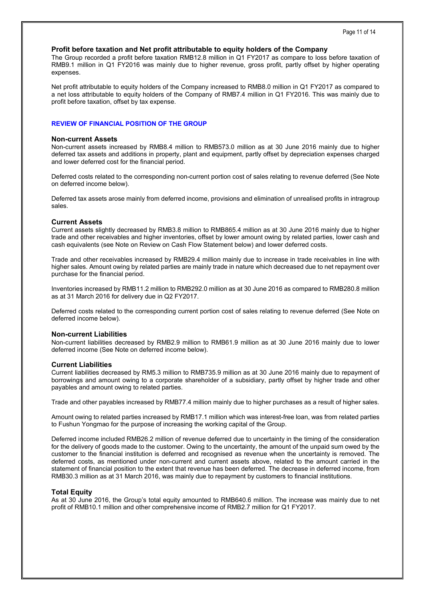# **Profit before taxation and Net profit attributable to equity holders of the Company**

The Group recorded a profit before taxation RMB12.8 million in Q1 FY2017 as compare to loss before taxation of RMB9.1 million in Q1 FY2016 was mainly due to higher revenue, gross profit, partly offset by higher operating expenses.

Net profit attributable to equity holders of the Company increased to RMB8.0 million in Q1 FY2017 as compared to a net loss attributable to equity holders of the Company of RMB7.4 million in Q1 FY2016. This was mainly due to profit before taxation, offset by tax expense.

# **REVIEW OF FINANCIAL POSITION OF THE GROUP**

# **Non-current Assets**

Non-current assets increased by RMB8.4 million to RMB573.0 million as at 30 June 2016 mainly due to higher deferred tax assets and additions in property, plant and equipment, partly offset by depreciation expenses charged and lower deferred cost for the financial period.

Deferred costs related to the corresponding non-current portion cost of sales relating to revenue deferred (See Note on deferred income below).

Deferred tax assets arose mainly from deferred income, provisions and elimination of unrealised profits in intragroup sales.

# **Current Assets**

Current assets slightly decreased by RMB3.8 million to RMB865.4 million as at 30 June 2016 mainly due to higher trade and other receivables and higher inventories, offset by lower amount owing by related parties, lower cash and cash equivalents (see Note on Review on Cash Flow Statement below) and lower deferred costs.

Trade and other receivables increased by RMB29.4 million mainly due to increase in trade receivables in line with higher sales. Amount owing by related parties are mainly trade in nature which decreased due to net repayment over purchase for the financial period.

Inventories increased by RMB11.2 million to RMB292.0 million as at 30 June 2016 as compared to RMB280.8 million as at 31 March 2016 for delivery due in Q2 FY2017.

Deferred costs related to the corresponding current portion cost of sales relating to revenue deferred (See Note on deferred income below).

# **Non-current Liabilities**

Non-current liabilities decreased by RMB2.9 million to RMB61.9 million as at 30 June 2016 mainly due to lower deferred income (See Note on deferred income below).

# **Current Liabilities**

Current liabilities decreased by RM5.3 million to RMB735.9 million as at 30 June 2016 mainly due to repayment of borrowings and amount owing to a corporate shareholder of a subsidiary, partly offset by higher trade and other payables and amount owing to related parties.

Trade and other payables increased by RMB77.4 million mainly due to higher purchases as a result of higher sales.

Amount owing to related parties increased by RMB17.1 million which was interest-free loan, was from related parties to Fushun Yongmao for the purpose of increasing the working capital of the Group.

Deferred income included RMB26.2 million of revenue deferred due to uncertainty in the timing of the consideration for the delivery of goods made to the customer. Owing to the uncertainty, the amount of the unpaid sum owed by the customer to the financial institution is deferred and recognised as revenue when the uncertainty is removed. The deferred costs, as mentioned under non-current and current assets above, related to the amount carried in the statement of financial position to the extent that revenue has been deferred. The decrease in deferred income, from RMB30.3 million as at 31 March 2016, was mainly due to repayment by customers to financial institutions.

# **Total Equity**

As at 30 June 2016, the Group's total equity amounted to RMB640.6 million. The increase was mainly due to net profit of RMB10.1 million and other comprehensive income of RMB2.7 million for Q1 FY2017.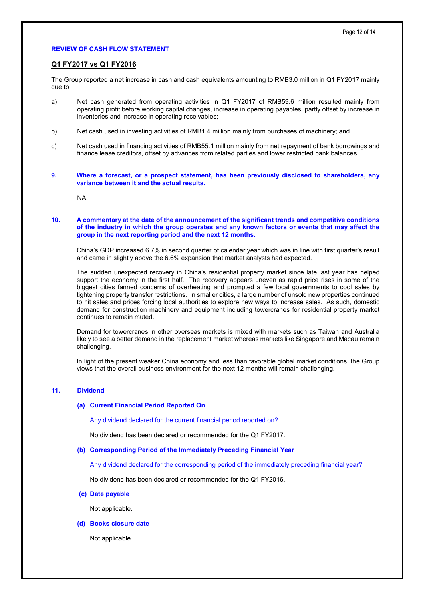# **REVIEW OF CASH FLOW STATEMENT**

# **Q1 FY2017 vs Q1 FY2016**

The Group reported a net increase in cash and cash equivalents amounting to RMB3.0 million in Q1 FY2017 mainly due to:

- a) Net cash generated from operating activities in Q1 FY2017 of RMB59.6 million resulted mainly from operating profit before working capital changes, increase in operating payables, partly offset by increase in inventories and increase in operating receivables;
- b) Net cash used in investing activities of RMB1.4 million mainly from purchases of machinery; and
- c) Net cash used in financing activities of RMB55.1 million mainly from net repayment of bank borrowings and finance lease creditors, offset by advances from related parties and lower restricted bank balances.
- **9. Where a forecast, or a prospect statement, has been previously disclosed to shareholders, any variance between it and the actual results.**

NA.

### **10. A commentary at the date of the announcement of the significant trends and competitive conditions of the industry in which the group operates and any known factors or events that may affect the group in the next reporting period and the next 12 months.**

China's GDP increased 6.7% in second quarter of calendar year which was in line with first quarter's result and came in slightly above the 6.6% expansion that market analysts had expected.

The sudden unexpected recovery in China's residential property market since late last year has helped support the economy in the first half. The recovery appears uneven as rapid price rises in some of the biggest cities fanned concerns of overheating and prompted a few local governments to cool sales by tightening property transfer restrictions. In smaller cities, a large number of unsold new properties continued to hit sales and prices forcing local authorities to explore new ways to increase sales. As such, domestic demand for construction machinery and equipment including towercranes for residential property market continues to remain muted.

Demand for towercranes in other overseas markets is mixed with markets such as Taiwan and Australia likely to see a better demand in the replacement market whereas markets like Singapore and Macau remain challenging.

In light of the present weaker China economy and less than favorable global market conditions, the Group views that the overall business environment for the next 12 months will remain challenging.

#### **11. Dividend**

#### **(a) Current Financial Period Reported On**

Any dividend declared for the current financial period reported on?

No dividend has been declared or recommended for the Q1 FY2017.

### **(b) Corresponding Period of the Immediately Preceding Financial Year**

Any dividend declared for the corresponding period of the immediately preceding financial year?

No dividend has been declared or recommended for the Q1 FY2016.

#### **(c) Date payable**

Not applicable.

# **(d) Books closure date**

Not applicable.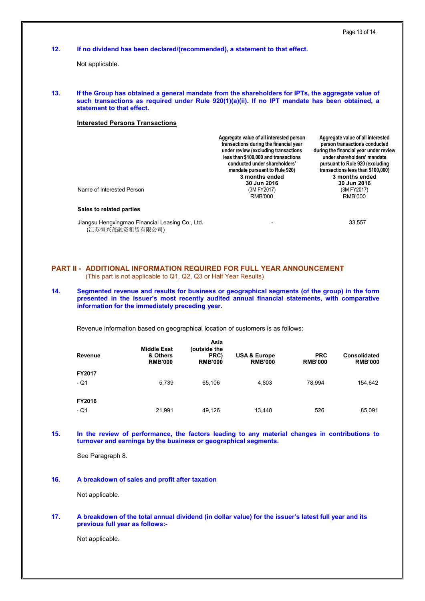| 12. |                                 |                                                                                                                     |                                                                             | If no dividend has been declared/(recommended), a statement to that effect.                                                                                                                                                                                                                            |                              |                                                                                                                                                                                                                                                                                       |
|-----|---------------------------------|---------------------------------------------------------------------------------------------------------------------|-----------------------------------------------------------------------------|--------------------------------------------------------------------------------------------------------------------------------------------------------------------------------------------------------------------------------------------------------------------------------------------------------|------------------------------|---------------------------------------------------------------------------------------------------------------------------------------------------------------------------------------------------------------------------------------------------------------------------------------|
|     | Not applicable.                 |                                                                                                                     |                                                                             |                                                                                                                                                                                                                                                                                                        |                              |                                                                                                                                                                                                                                                                                       |
| 13. | statement to that effect.       |                                                                                                                     |                                                                             | If the Group has obtained a general mandate from the shareholders for IPTs, the aggregate value of<br>such transactions as required under Rule 920(1)(a)(ii). If no IPT mandate has been obtained, a                                                                                                   |                              |                                                                                                                                                                                                                                                                                       |
|     |                                 | <b>Interested Persons Transactions</b>                                                                              |                                                                             |                                                                                                                                                                                                                                                                                                        |                              |                                                                                                                                                                                                                                                                                       |
|     | Name of Interested Person       |                                                                                                                     |                                                                             | Aggregate value of all interested person<br>transactions during the financial year<br>under review (excluding transactions<br>less than \$100,000 and transactions<br>conducted under shareholders'<br>mandate pursuant to Rule 920)<br>3 months ended<br>30 Jun 2016<br>(3M FY2017)<br><b>RMB'000</b> |                              | Aggregate value of all interested<br>person transactions conducted<br>during the financial year under review<br>under shareholders' mandate<br>pursuant to Rule 920 (excluding<br>transactions less than \$100,000)<br>3 months ended<br>30 Jun 2016<br>(3M FY2017)<br><b>RMB'000</b> |
|     | Sales to related parties        |                                                                                                                     |                                                                             |                                                                                                                                                                                                                                                                                                        |                              |                                                                                                                                                                                                                                                                                       |
|     | (江苏恒兴茂融资租赁有限公司)                 | Jiangsu Hengxingmao Financial Leasing Co., Ltd.                                                                     |                                                                             |                                                                                                                                                                                                                                                                                                        |                              | 33,557                                                                                                                                                                                                                                                                                |
| 14. |                                 | (This part is not applicable to Q1, Q2, Q3 or Half Year Results)<br>information for the immediately preceding year. | <b>PART II - ADDITIONAL INFORMATION REQUIRED FOR FULL YEAR ANNOUNCEMENT</b> | Segmented revenue and results for business or geographical segments (of the group) in the form<br>presented in the issuer's most recently audited annual financial statements, with comparative                                                                                                        |                              |                                                                                                                                                                                                                                                                                       |
|     |                                 |                                                                                                                     |                                                                             | Revenue information based on geographical location of customers is as follows:                                                                                                                                                                                                                         |                              |                                                                                                                                                                                                                                                                                       |
|     |                                 |                                                                                                                     | Asia                                                                        |                                                                                                                                                                                                                                                                                                        |                              |                                                                                                                                                                                                                                                                                       |
|     | <b>Revenue</b>                  | <b>Middle East</b><br>& Others<br><b>RMB'000</b>                                                                    | (outside the<br>PRC)<br><b>RMB'000</b>                                      | <b>USA &amp; Europe</b><br><b>RMB'000</b>                                                                                                                                                                                                                                                              | <b>PRC</b><br><b>RMB'000</b> | <b>Consolidated</b><br><b>RMB'000</b>                                                                                                                                                                                                                                                 |
|     | FY2017                          |                                                                                                                     |                                                                             |                                                                                                                                                                                                                                                                                                        |                              |                                                                                                                                                                                                                                                                                       |
|     | $-Q1$                           | 5,739                                                                                                               | 65.106                                                                      | 4,803                                                                                                                                                                                                                                                                                                  | 78,994                       | 154,642                                                                                                                                                                                                                                                                               |
|     | FY2016                          |                                                                                                                     |                                                                             |                                                                                                                                                                                                                                                                                                        |                              |                                                                                                                                                                                                                                                                                       |
|     | $-Q1$                           | 21,991                                                                                                              | 49,126                                                                      | 13,448                                                                                                                                                                                                                                                                                                 | 526                          | 85,091                                                                                                                                                                                                                                                                                |
| 15. |                                 | turnover and earnings by the business or geographical segments.                                                     |                                                                             | In the review of performance, the factors leading to any material changes in contributions to                                                                                                                                                                                                          |                              |                                                                                                                                                                                                                                                                                       |
|     | See Paragraph 8.                |                                                                                                                     |                                                                             |                                                                                                                                                                                                                                                                                                        |                              |                                                                                                                                                                                                                                                                                       |
| 16. |                                 | A breakdown of sales and profit after taxation                                                                      |                                                                             |                                                                                                                                                                                                                                                                                                        |                              |                                                                                                                                                                                                                                                                                       |
|     | Not applicable.                 |                                                                                                                     |                                                                             |                                                                                                                                                                                                                                                                                                        |                              |                                                                                                                                                                                                                                                                                       |
| 17. | previous full year as follows:- |                                                                                                                     |                                                                             | A breakdown of the total annual dividend (in dollar value) for the issuer's latest full year and its                                                                                                                                                                                                   |                              |                                                                                                                                                                                                                                                                                       |